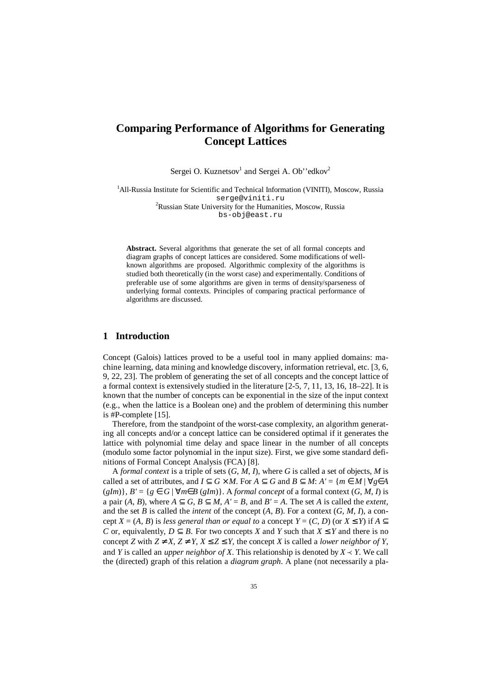# **Comparing Performance of Algorithms for Generating Concept Lattices**

Sergei O. Kuznetsov<sup>1</sup> and Sergei A. Ob''edkov<sup>2</sup>

<sup>1</sup>All-Russia Institute for Scientific and Technical Information (VINITI), Moscow, Russia serge@viniti.ru <sup>2</sup>Russian State University for the Humanities, Moscow, Russia

bs-obj@east.ru

**Abstract.** Several algorithms that generate the set of all formal concepts and diagram graphs of concept lattices are considered. Some modifications of wellknown algorithms are proposed. Algorithmic complexity of the algorithms is studied both theoretically (in the worst case) and experimentally. Conditions of preferable use of some algorithms are given in terms of density/sparseness of underlying formal contexts. Principles of comparing practical performance of algorithms are discussed.

## **1 Introduction**

Concept (Galois) lattices proved to be a useful tool in many applied domains: machine learning, data mining and knowledge discovery, information retrieval, etc. [3, 6, 9, 22, 23]. The problem of generating the set of all concepts and the concept lattice of a formal context is extensively studied in the literature [2-5, 7, 11, 13, 16, 18–22]. It is known that the number of concepts can be exponential in the size of the input context (e.g., when the lattice is a Boolean one) and the problem of determining this number is #P-complete [15].

Therefore, from the standpoint of the worst-case complexity, an algorithm generating all concepts and/or a concept lattice can be considered optimal if it generates the lattice with polynomial time delay and space linear in the number of all concepts (modulo some factor polynomial in the input size). First, we give some standard definitions of Formal Concept Analysis (FCA) [8].

A *formal context* is a triple of sets (*G*, *M*, *I*), where *G* is called a set of objects, *M* is called a set of attributes, and  $I \subseteq G \times M$ . For  $A \subseteq G$  and  $B \subseteq M$ :  $A' = \{m \in M \mid \forall g \in A\}$  $(gIm)$ ,  $B' = \{g \in G \mid \forall m \in B (gIm)\}\$ . A *formal concept* of a formal context  $(G, M, I)$  is a pair  $(A, B)$ , where  $A \subset G$ ,  $B \subset M$ ,  $A' = B$ , and  $B' = A$ . The set *A* is called the *extent*, and the set *B* is called the *intent* of the concept  $(A, B)$ . For a context  $(G, M, I)$ , a concept *X* = (*A*, *B*) is *less* general than or equal to a concept *Y* = (*C*, *D*) (or *X* ≤ *Y*) if *A*  $\subseteq$ *C* or, equivalently,  $D \subset B$ . For two concepts *X* and *Y* such that  $X \leq Y$  and there is no concept *Z* with  $Z \neq X$ ,  $Z \neq Y$ ,  $X \leq Z \leq Y$ , the concept *X* is called a *lower neighbor* of *Y*, and *Y* is called an *upper neighbor of X*. This relationship is denoted by  $X \prec Y$ . We call the (directed) graph of this relation a *diagram graph*. A plane (not necessarily a pla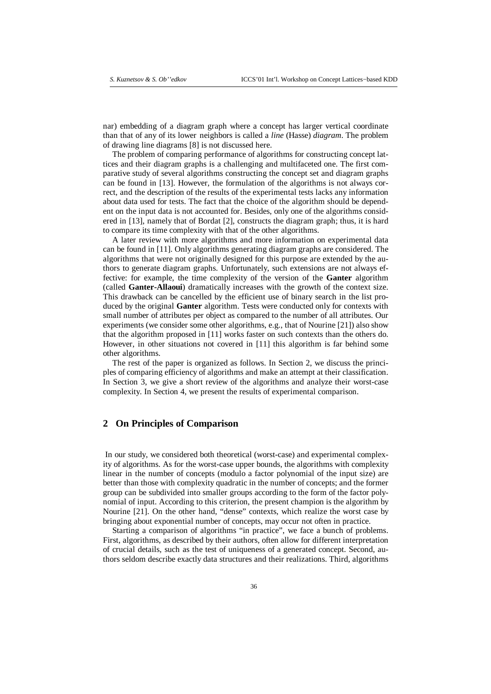nar) embedding of a diagram graph where a concept has larger vertical coordinate than that of any of its lower neighbors is called a *line* (Hasse) *diagram*. The problem of drawing line diagrams [8] is not discussed here.

The problem of comparing performance of algorithms for constructing concept lattices and their diagram graphs is a challenging and multifaceted one. The first comparative study of several algorithms constructing the concept set and diagram graphs can be found in [13]. However, the formulation of the algorithms is not always correct, and the description of the results of the experimental tests lacks any information about data used for tests. The fact that the choice of the algorithm should be dependent on the input data is not accounted for. Besides, only one of the algorithms considered in [13], namely that of Bordat [2], constructs the diagram graph; thus, it is hard to compare its time complexity with that of the other algorithms.

A later review with more algorithms and more information on experimental data can be found in [11]. Only algorithms generating diagram graphs are considered. The algorithms that were not originally designed for this purpose are extended by the authors to generate diagram graphs. Unfortunately, such extensions are not always effective: for example, the time complexity of the version of the **Ganter** algorithm (called **Ganter-Allaoui**) dramatically increases with the growth of the context size. This drawback can be cancelled by the efficient use of binary search in the list produced by the original **Ganter** algorithm. Tests were conducted only for contexts with small number of attributes per object as compared to the number of all attributes. Our experiments (we consider some other algorithms, e.g., that of Nourine [21]) also show that the algorithm proposed in [11] works faster on such contexts than the others do. However, in other situations not covered in [11] this algorithm is far behind some other algorithms.

The rest of the paper is organized as follows. In Section 2, we discuss the principles of comparing efficiency of algorithms and make an attempt at their classification. In Section 3, we give a short review of the algorithms and analyze their worst-case complexity. In Section 4, we present the results of experimental comparison.

## **2 On Principles of Comparison**

In our study, we considered both theoretical (worst-case) and experimental complexity of algorithms. As for the worst-case upper bounds, the algorithms with complexity linear in the number of concepts (modulo a factor polynomial of the input size) are better than those with complexity quadratic in the number of concepts; and the former group can be subdivided into smaller groups according to the form of the factor polynomial of input. According to this criterion, the present champion is the algorithm by Nourine [21]. On the other hand, "dense" contexts, which realize the worst case by bringing about exponential number of concepts, may occur not often in practice.

Starting a comparison of algorithms "in practice", we face a bunch of problems. First, algorithms, as described by their authors, often allow for different interpretation of crucial details, such as the test of uniqueness of a generated concept. Second, authors seldom describe exactly data structures and their realizations. Third, algorithms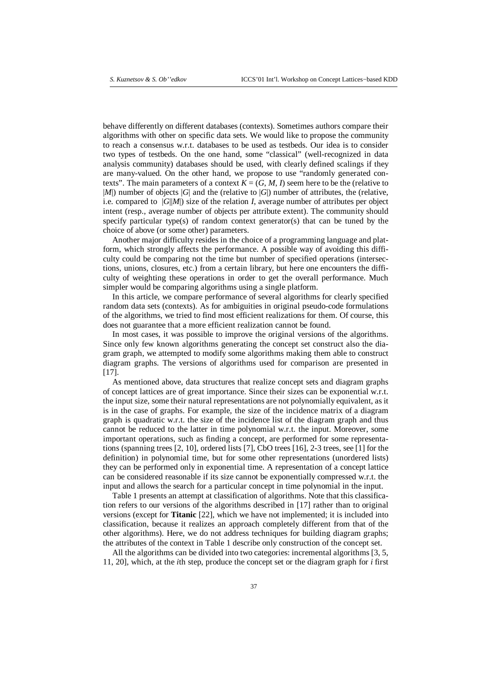behave differently on different databases (contexts). Sometimes authors compare their algorithms with other on specific data sets. We would like to propose the community to reach a consensus w.r.t. databases to be used as testbeds. Our idea is to consider two types of testbeds. On the one hand, some "classical" (well-recognized in data analysis community) databases should be used, with clearly defined scalings if they are many-valued. On the other hand, we propose to use "randomly generated contexts". The main parameters of a context  $K = (G, M, I)$  seem here to be the (relative to |*M*|) number of objects |*G*| and the (relative to |*G*|) number of attributes, the (relative, i.e. compared to |*G*||*M*|) size of the relation *I*, average number of attributes per object intent (resp., average number of objects per attribute extent). The community should specify particular type(s) of random context generator(s) that can be tuned by the choice of above (or some other) parameters.

Another major difficulty resides in the choice of a programming language and platform, which strongly affects the performance. A possible way of avoiding this difficulty could be comparing not the time but number of specified operations (intersections, unions, closures, etc.) from a certain library, but here one encounters the difficulty of weighting these operations in order to get the overall performance. Much simpler would be comparing algorithms using a single platform.

In this article, we compare performance of several algorithms for clearly specified random data sets (contexts). As for ambiguities in original pseudo-code formulations of the algorithms, we tried to find most efficient realizations for them. Of course, this does not guarantee that a more efficient realization cannot be found.

In most cases, it was possible to improve the original versions of the algorithms. Since only few known algorithms generating the concept set construct also the diagram graph, we attempted to modify some algorithms making them able to construct diagram graphs. The versions of algorithms used for comparison are presented in [17].

As mentioned above, data structures that realize concept sets and diagram graphs of concept lattices are of great importance. Since their sizes can be exponential w.r.t. the input size, some their natural representations are not polynomially equivalent, as it is in the case of graphs. For example, the size of the incidence matrix of a diagram graph is quadratic w.r.t. the size of the incidence list of the diagram graph and thus cannot be reduced to the latter in time polynomial w.r.t. the input. Moreover, some important operations, such as finding a concept, are performed for some representations (spanning trees  $[2, 10]$ , ordered lists  $[7]$ , CbO trees  $[16]$ , 2-3 trees, see  $[1]$  for the definition) in polynomial time, but for some other representations (unordered lists) they can be performed only in exponential time. A representation of a concept lattice can be considered reasonable if its size cannot be exponentially compressed w.r.t. the input and allows the search for a particular concept in time polynomial in the input.

Table 1 presents an attempt at classification of algorithms. Note that this classification refers to our versions of the algorithms described in [17] rather than to original versions (except for **Titanic** [22], which we have not implemented; it is included into classification, because it realizes an approach completely different from that of the other algorithms). Here, we do not address techniques for building diagram graphs; the attributes of the context in Table 1 describe only construction of the concept set.

All the algorithms can be divided into two categories: incremental algorithms [3, 5, 11, 20], which, at the *i*th step, produce the concept set or the diagram graph for *i* first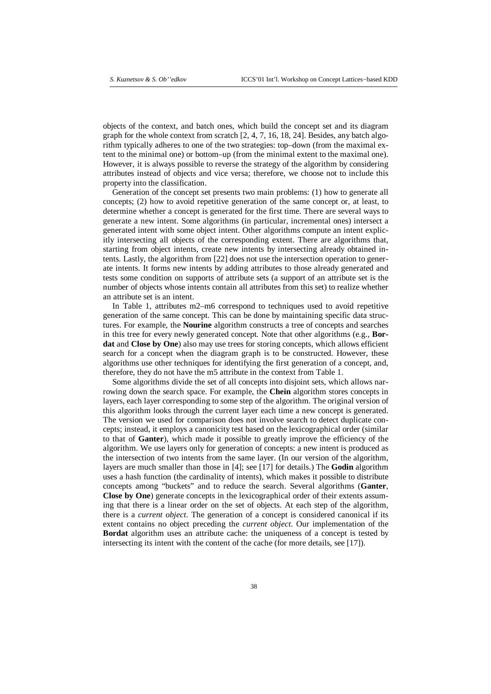objects of the context, and batch ones, which build the concept set and its diagram graph for the whole context from scratch [2, 4, 7, 16, 18, 24]. Besides, any batch algorithm typically adheres to one of the two strategies: top–down (from the maximal extent to the minimal one) or bottom–up (from the minimal extent to the maximal one). However, it is always possible to reverse the strategy of the algorithm by considering attributes instead of objects and vice versa; therefore, we choose not to include this property into the classification.

Generation of the concept set presents two main problems: (1) how to generate all concepts; (2) how to avoid repetitive generation of the same concept or, at least, to determine whether a concept is generated for the first time. There are several ways to generate a new intent. Some algorithms (in particular, incremental ones) intersect a generated intent with some object intent. Other algorithms compute an intent explicitly intersecting all objects of the corresponding extent. There are algorithms that, starting from object intents, create new intents by intersecting already obtained intents. Lastly, the algorithm from [22] does not use the intersection operation to generate intents. It forms new intents by adding attributes to those already generated and tests some condition on supports of attribute sets (a support of an attribute set is the number of objects whose intents contain all attributes from this set) to realize whether an attribute set is an intent.

In Table 1, attributes m2–m6 correspond to techniques used to avoid repetitive generation of the same concept. This can be done by maintaining specific data structures. For example, the **Nourine** algorithm constructs a tree of concepts and searches in this tree for every newly generated concept*.* Note that other algorithms (e.g., **Bordat** and **Close by One**) also may use trees for storing concepts, which allows efficient search for a concept when the diagram graph is to be constructed. However, these algorithms use other techniques for identifying the first generation of a concept, and, therefore, they do not have the m5 attribute in the context from Table 1.

Some algorithms divide the set of all concepts into disjoint sets, which allows narrowing down the search space. For example, the **Chein** algorithm stores concepts in layers, each layer corresponding to some step of the algorithm. The original version of this algorithm looks through the current layer each time a new concept is generated. The version we used for comparison does not involve search to detect duplicate concepts; instead, it employs a canonicity test based on the lexicographical order (similar to that of **Ganter**), which made it possible to greatly improve the efficiency of the algorithm. We use layers only for generation of concepts: a new intent is produced as the intersection of two intents from the same layer. (In our version of the algorithm, layers are much smaller than those in [4]; see [17] for details.) The **Godin** algorithm uses a hash function (the cardinality of intents), which makes it possible to distribute concepts among "buckets" and to reduce the search. Several algorithms (**Ganter**, **Close by One**) generate concepts in the lexicographical order of their extents assuming that there is a linear order on the set of objects. At each step of the algorithm, there is a *current object*. The generation of a concept is considered canonical if its extent contains no object preceding the *current object*. Our implementation of the **Bordat** algorithm uses an attribute cache: the uniqueness of a concept is tested by intersecting its intent with the content of the cache (for more details, see [17]).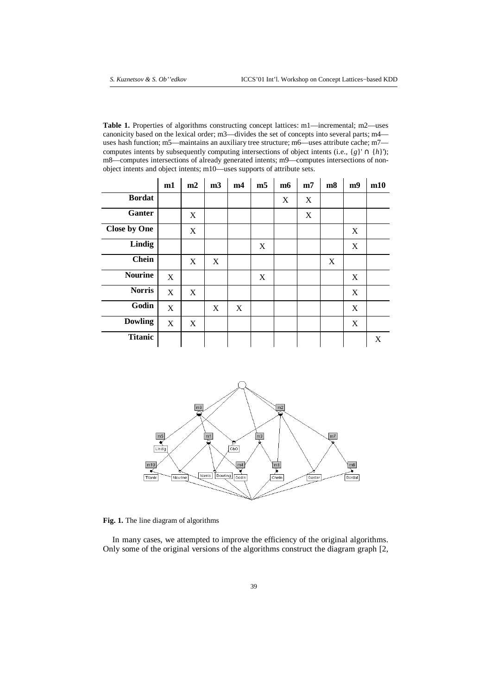**Table 1.** Properties of algorithms constructing concept lattices: m1—incremental; m2—uses canonicity based on the lexical order; m3—divides the set of concepts into several parts; m4 uses hash function; m5—maintains an auxiliary tree structure; m6—uses attribute cache; m7 computes intents by subsequently computing intersections of object intents (i.e.,  $\{g\}' \cap \{h\}'$ ); m8—computes intersections of already generated intents; m9—computes intersections of nonobject intents and object intents; m10—uses supports of attribute sets.

|                     | m1 | m2 | m <sub>3</sub> | m4 | m <sub>5</sub>            | m <sub>6</sub> | m7 | m8 | m9 | m10 |
|---------------------|----|----|----------------|----|---------------------------|----------------|----|----|----|-----|
| <b>Bordat</b>       |    |    |                |    |                           | X              | X  |    |    |     |
| Ganter              |    | X  |                |    |                           |                | X  |    |    |     |
| <b>Close by One</b> |    | X  |                |    |                           |                |    |    | X  |     |
| Lindig              |    |    |                |    | $\boldsymbol{\mathrm{X}}$ |                |    |    | X  |     |
| <b>Chein</b>        |    | X  | X              |    |                           |                |    | X  |    |     |
| <b>Nourine</b>      | X  |    |                |    | X                         |                |    |    | X  |     |
| <b>Norris</b>       | X  | X  |                |    |                           |                |    |    | X  |     |
| Godin               | X  |    | X              | X  |                           |                |    |    | X  |     |
| <b>Dowling</b>      | X  | X  |                |    |                           |                |    |    | X  |     |
| <b>Titanic</b>      |    |    |                |    |                           |                |    |    |    | X   |



**Fig. 1.** The line diagram of algorithms

In many cases, we attempted to improve the efficiency of the original algorithms. Only some of the original versions of the algorithms construct the diagram graph [2,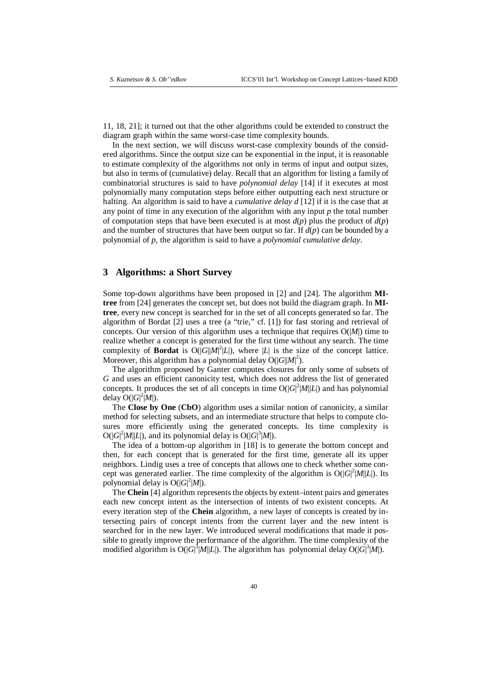11, 18, 21]; it turned out that the other algorithms could be extended to construct the diagram graph within the same worst-case time complexity bounds.

In the next section, we will discuss worst-case complexity bounds of the considered algorithms. Since the output size can be exponential in the input, it is reasonable to estimate complexity of the algorithms not only in terms of input and output sizes, but also in terms of (cumulative) delay. Recall that an algorithm for listing a family of combinatorial structures is said to have *polynomial delay* [14] if it executes at most polynomially many computation steps before either outputting each next structure or halting. An algorithm is said to have a *cumulative delay d* [12] if it is the case that at any point of time in any execution of the algorithm with any input *p* the total number of computation steps that have been executed is at most  $d(p)$  plus the product of  $d(p)$ and the number of structures that have been output so far. If  $d(p)$  can be bounded by a polynomial of *p*, the algorithm is said to have a *polynomial cumulative delay*.

#### **3 Algorithms: a Short Survey**

Some top-down algorithms have been proposed in [2] and [24]. The algorithm **MItree** from [24] generates the concept set, but does not build the diagram graph. In **MItree**, every new concept is searched for in the set of all concepts generated so far. The algorithm of Bordat [2] uses a tree (a "trie," cf. [1]) for fast storing and retrieval of concepts. Our version of this algorithm uses a technique that requires  $O(|M|)$  time to realize whether a concept is generated for the first time without any search. The time complexity of **Bordat** is  $O(|G||M|^2|L|)$ , where |*L*| is the size of the concept lattice. Moreover, this algorithm has a polynomial delay  $O(|G||M|^2)$ .

The algorithm proposed by Ganter computes closures for only some of subsets of *G* and uses an efficient canonicity test, which does not address the list of generated concepts. It produces the set of all concepts in time  $O(|G|^2|M||L|)$  and has polynomial delay  $O(|G|^2|M|)$ .

The **Close by One** (**CbO**) algorithm uses a similar notion of canonicity, a similar method for selecting subsets, and an intermediate structure that helps to compute closures more efficiently using the generated concepts. Its time complexity is  $O(|G|^2|M||L|)$ , and its polynomial delay is  $O(|G|^3|M|)$ .

The idea of a bottom-up algorithm in [18] is to generate the bottom concept and then, for each concept that is generated for the first time, generate all its upper neighbors. Lindig uses a tree of concepts that allows one to check whether some concept was generated earlier. The time complexity of the algorithm is  $O(|G|^2|M||L|)$ . Its polynomial delay is  $O(|G|^2|M|)$ .

The **Chein** [4] algorithm represents the objects by extent–intent pairs and generates each new concept intent as the intersection of intents of two existent concepts. At every iteration step of the **Chein** algorithm, a new layer of concepts is created by intersecting pairs of concept intents from the current layer and the new intent is searched for in the new layer. We introduced several modifications that made it possible to greatly improve the performance of the algorithm. The time complexity of the modified algorithm is  $O(|G|^3|M||L|)$ . The algorithm has polynomial delay  $O(|G|^3|M|)$ .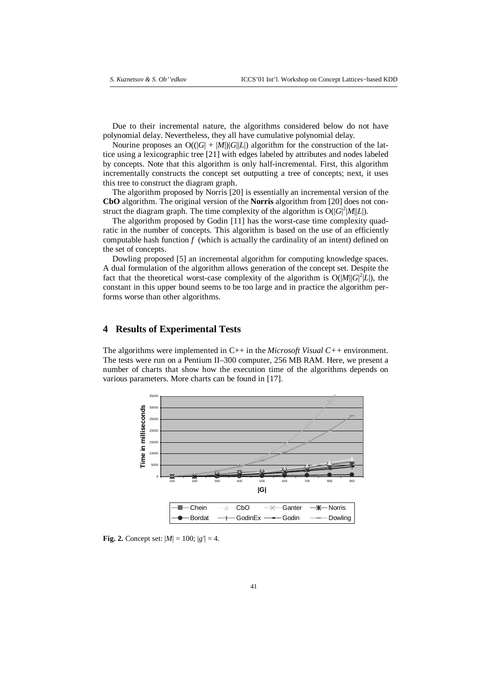Due to their incremental nature, the algorithms considered below do not have polynomial delay. Nevertheless, they all have cumulative polynomial delay.

Nourine proposes an  $O((|G| + |M|)|G||L|)$  algorithm for the construction of the lattice using a lexicographic tree [21] with edges labeled by attributes and nodes labeled by concepts. Note that this algorithm is only half-incremental. First, this algorithm incrementally constructs the concept set outputting a tree of concepts; next, it uses this tree to construct the diagram graph.

The algorithm proposed by Norris [20] is essentially an incremental version of the **CbO** algorithm. The original version of the **Norris** algorithm from [20] does not construct the diagram graph. The time complexity of the algorithm is  $O(|G|^2|M||L|)$ .

The algorithm proposed by Godin [11] has the worst-case time complexity quadratic in the number of concepts. This algorithm is based on the use of an efficiently computable hash function *f* (which is actually the cardinality of an intent) defined on the set of concepts.

Dowling proposed [5] an incremental algorithm for computing knowledge spaces. A dual formulation of the algorithm allows generation of the concept set. Despite the fact that the theoretical worst-case complexity of the algorithm is  $O(|M||G|^2|L|)$ , the constant in this upper bound seems to be too large and in practice the algorithm performs worse than other algorithms.

### **4 Results of Experimental Tests**

The algorithms were implemented in C++ in the *Microsoft Visual C++* environment. The tests were run on a Pentium II–300 computer, 256 MB RAM. Here, we present a number of charts that show how the execution time of the algorithms depends on various parameters. More charts can be found in [17].



**Fig.** 2. Concept set:  $|M| = 100$ ;  $|g'| = 4$ .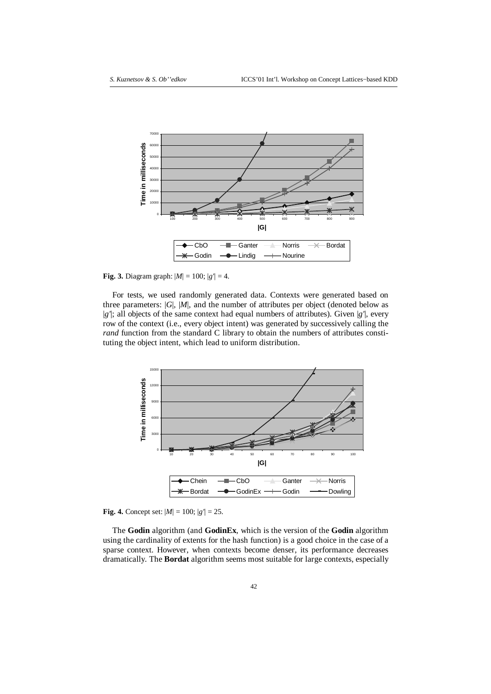

**Fig.** 3. Diagram graph:  $|M| = 100$ ;  $|g'| = 4$ .

For tests, we used randomly generated data. Contexts were generated based on three parameters:  $|G|$ ,  $|M|$ , and the number of attributes per object (denoted below as |*g'*|; all objects of the same context had equal numbers of attributes). Given |*g'*|, every row of the context (i.e., every object intent) was generated by successively calling the *rand* function from the standard C library to obtain the numbers of attributes constituting the object intent, which lead to uniform distribution.



**Fig. 4.** Concept set:  $|M| = 100$ ;  $|g'| = 25$ .

The **Godin** algorithm (and **GodinEx**, which is the version of the **Godin** algorithm using the cardinality of extents for the hash function) is a good choice in the case of a sparse context. However, when contexts become denser, its performance decreases dramatically. The **Bordat** algorithm seems most suitable for large contexts, especially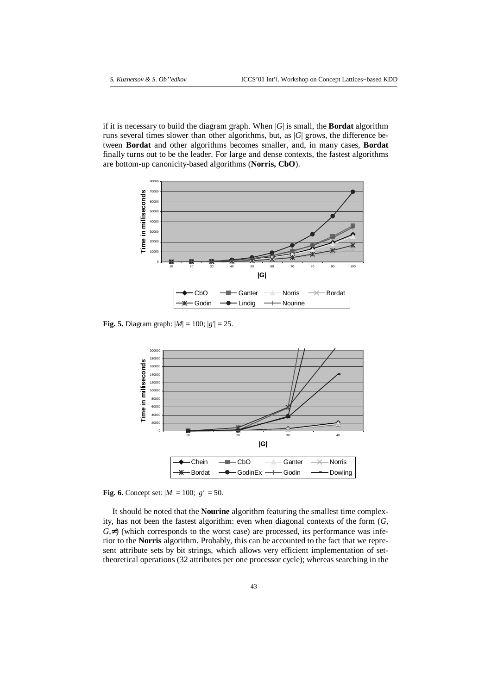if it is necessary to build the diagram graph. When |*G*| is small, the **Bordat** algorithm runs several times slower than other algorithms, but, as |*G*| grows, the difference between **Bordat** and other algorithms becomes smaller, and, in many cases, **Bordat** finally turns out to be the leader. For large and dense contexts, the fastest algorithms are bottom-up canonicity-based algorithms (**Norris, CbO**).



**Fig.** 5. Diagram graph:  $|M| = 100$ ;  $|g'| = 25$ .



**Fig.** 6. Concept set:  $|M| = 100$ ;  $|g'| = 50$ .

It should be noted that the **Nourine** algorithm featuring the smallest time complexity, has not been the fastest algorithm: even when diagonal contexts of the form (*G*,  $G, \neq$ ) (which corresponds to the worst case) are processed, its performance was inferior to the **Norris** algorithm. Probably, this can be accounted to the fact that we represent attribute sets by bit strings, which allows very efficient implementation of settheoretical operations (32 attributes per one processor cycle); whereas searching in the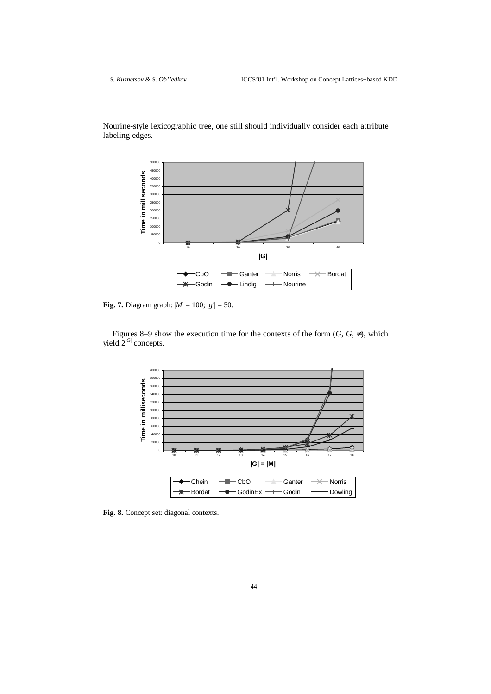Nourine-style lexicographic tree, one still should individually consider each attribute labeling edges.



**Fig.** 7. Diagram graph:  $|M| = 100$ ;  $|g'| = 50$ .

Figures 8–9 show the execution time for the contexts of the form  $(G, G, \neq)$ , which yield  $2^{|G|}$  concepts.



**Fig. 8.** Concept set: diagonal contexts.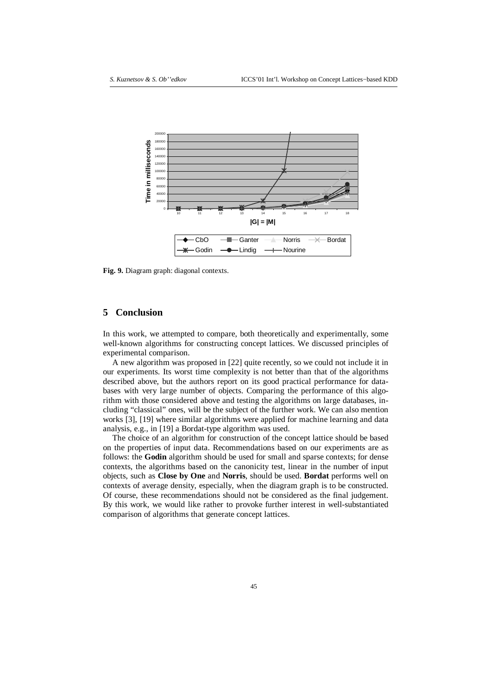

**Fig. 9.** Diagram graph: diagonal contexts.

### **5 Conclusion**

In this work, we attempted to compare, both theoretically and experimentally, some well-known algorithms for constructing concept lattices. We discussed principles of experimental comparison.

A new algorithm was proposed in [22] quite recently, so we could not include it in our experiments. Its worst time complexity is not better than that of the algorithms described above, but the authors report on its good practical performance for databases with very large number of objects. Comparing the performance of this algorithm with those considered above and testing the algorithms on large databases, including "classical" ones, will be the subject of the further work. We can also mention works [3], [19] where similar algorithms were applied for machine learning and data analysis, e.g., in [19] a Bordat-type algorithm was used.

The choice of an algorithm for construction of the concept lattice should be based on the properties of input data. Recommendations based on our experiments are as follows: the **Godin** algorithm should be used for small and sparse contexts; for dense contexts, the algorithms based on the canonicity test, linear in the number of input objects, such as **Close by One** and **Norris**, should be used. **Bordat** performs well on contexts of average density, especially, when the diagram graph is to be constructed. Of course, these recommendations should not be considered as the final judgement. By this work, we would like rather to provoke further interest in well-substantiated comparison of algorithms that generate concept lattices.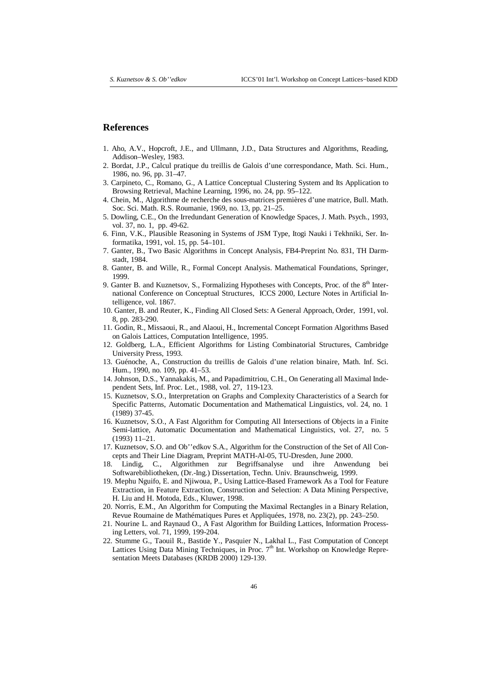#### **References**

- 1. Aho, A.V., Hopcroft, J.E., and Ullmann, J.D., Data Structures and Algorithms, Reading, Addison–Wesley, 1983.
- 2. Bordat, J.P., Calcul pratique du treillis de Galois d'une correspondance, Math. Sci. Hum., 1986, no. 96, pp. 31–47.
- 3. Carpineto, C., Romano, G., A Lattice Conceptual Clustering System and Its Application to Browsing Retrieval, Machine Learning, 1996, no. 24, pp. 95–122.
- 4. Chein, M., Algorithme de recherche des sous-matrices premières d'une matrice, Bull. Math. Soc. Sci. Math. R.S. Roumanie, 1969, no. 13, pp. 21–25.
- 5. Dowling, C.E., On the Irredundant Generation of Knowledge Spaces, J. Math. Psych., 1993, vol. 37, no. 1, pp. 49-62.
- 6. Finn, V.K., Plausible Reasoning in Systems of JSM Type, Itogi Nauki i Tekhniki, Ser. Informatika, 1991, vol. 15, pp. 54–101.
- 7. Ganter, B., Two Basic Algorithms in Concept Analysis, FB4-Preprint No. 831, TH Darmstadt, 1984.
- 8. Ganter, B. and Wille, R., Formal Concept Analysis. Mathematical Foundations, Springer, 1999.
- 9. Ganter B. and Kuznetsov, S., Formalizing Hypotheses with Concepts, Proc. of the 8<sup>th</sup> International Conference on Conceptual Structures, ICCS 2000, Lecture Notes in Artificial Intelligence, vol. 1867.
- 10. Ganter, B. and Reuter, K., Finding All Closed Sets: A General Approach, Order, 1991, vol. 8, pp. 283-290.
- 11. Godin, R., Missaoui, R., and Alaoui, H., Incremental Concept Formation Algorithms Based on Galois Lattices, Computation Intelligence, 1995.
- 12. Goldberg, L.A., Efficient Algorithms for Listing Combinatorial Structures, Cambridge University Press, 1993.
- 13. Guénoche, A., Construction du treillis de Galois d'une relation binaire, Math. Inf. Sci. Hum., 1990, no. 109, pp. 41–53.
- 14. Johnson, D.S., Yannakakis, M., and Papadimitriou, C.H., On Generating all Maximal Independent Sets, Inf. Proc. Let., 1988, vol. 27, 119-123.
- 15. Kuznetsov, S.O., Interpretation on Graphs and Complexity Characteristics of a Search for Specific Patterns, Automatic Documentation and Mathematical Linguistics, vol. 24, no. 1 (1989) 37-45.
- 16. Kuznetsov, S.O., A Fast Algorithm for Computing All Intersections of Objects in a Finite Semi-lattice, Automatic Documentation and Mathematical Linguistics, vol. 27, no. 5 (1993) 11–21.
- 17. Kuznetsov, S.O. and Ob''edkov S.A., Algorithm for the Construction of the Set of All Concepts and Their Line Diagram, Preprint MATH-Al-05, TU-Dresden, June 2000.
- 18. Lindig, C., Algorithmen zur Begriffsanalyse und ihre Anwendung bei Softwarebibliotheken, (Dr.-Ing.) Dissertation, Techn. Univ. Braunschweig, 1999.
- 19. Mephu Nguifo, E. and Njiwoua, P., Using Lattice-Based Framework As a Tool for Feature Extraction, in Feature Extraction, Construction and Selection: A Data Mining Perspective, H. Liu and H. Motoda, Eds., Kluwer, 1998.
- 20. Norris, E.M., An Algorithm for Computing the Maximal Rectangles in a Binary Relation, Revue Roumaine de Mathématiques Pures et Appliquées, 1978, no. 23(2), pp. 243–250.
- 21. Nourine L. and Raynaud O., A Fast Algorithm for Building Lattices, Information Processing Letters, vol. 71, 1999, 199-204.
- 22. Stumme G., Taouil R., Bastide Y., Pasquier N., Lakhal L., Fast Computation of Concept Lattices Using Data Mining Techniques, in Proc. 7<sup>th</sup> Int. Workshop on Knowledge Representation Meets Databases (KRDB 2000) 129-139.